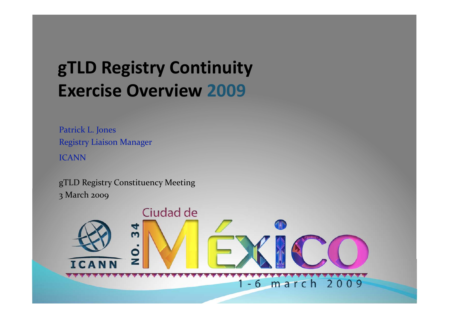#### **gTLD Registry Continuity Exercise Overview 2009**

Patrick L. Jones **Registry Liaison Manager ICANN** 

gTLD Registry Constituency Meeting 3 March 2009

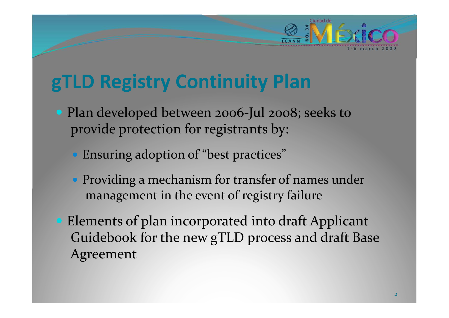#### **gTLD Registry Continuity Plan**

- Plan developed between 2006-Jul 2008; seeks to provide protection for registrants by:
	- Ensuring adoption of "best practices"
	- Providing a mechanism for transfer of names under management in the event of registry failure
- Elements of plan incorporated into draft Applicant Guidebook for the new gTLD process and draft Base Agreement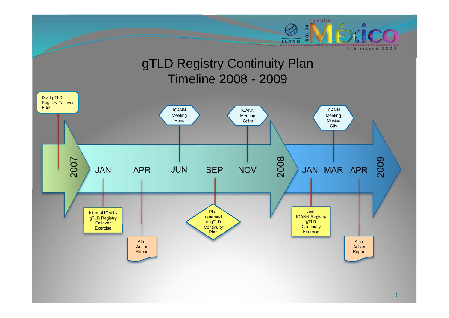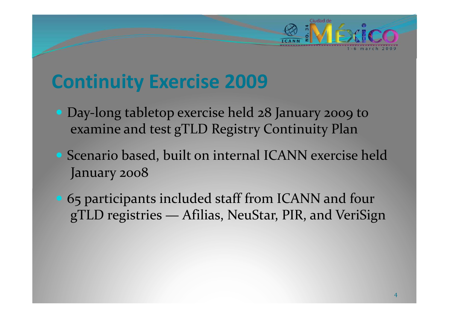#### **Continuity Exercise 2009**

- Day-long tabletop exercise held 28 January 2009 to examine and test gTLD Registry Continuity Plan
- Scenario based, built on internal ICANN exercise held January 2008

Ciudad de

• 65 participants included staff from ICANN and four gTLD registries — Afilias, NeuStar, PIR, and VeriSign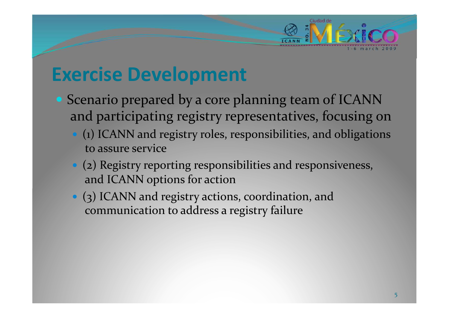#### **Exercise Development**

- Scenario prepared by a core planning team of ICANN and participating registry representatives, focusing on
	- (1) ICANN and registry roles, responsibilities, and obligations to assure service

- (2) Registry reporting responsibilities and responsiveness, and ICANN options for action
- (3) ICANN and registry actions, coordination, and communication to address a registry failure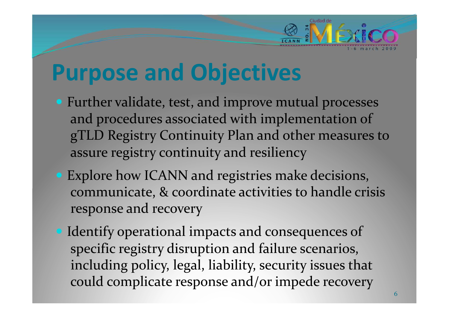## **Purpose and Objectives**

• Further validate, test, and improve mutual processes and procedures associated with implementation of gTLD Registry Continuity Plan and other measures to assure registry continuity and resiliency

- Explore how ICANN and registries make decisions, communicate, & coordinate activities to handle crisis response and recovery
- Identify operational impacts and consequences of specific registry disruption and failure scenarios, including policy, legal, liability, security issues that could complicate response and/or impede recovery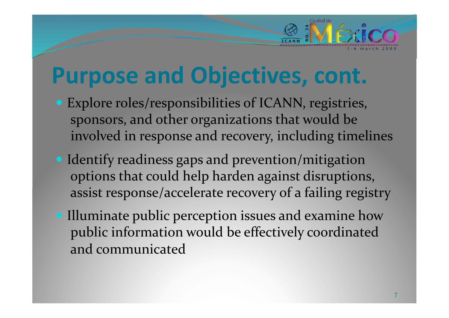## **Purpose and Objectives, cont.**

• Explore roles/responsibilities of ICANN, registries, sponsors, and other organizations that would be involved in response and recovery, including timelines

- Identify readiness gaps and prevention/mitigation options that could help harden against disruptions, assist response/accelerate recovery of a failing registry
- Illuminate public perception issues and examine how public information would be effectively coordinated and communicated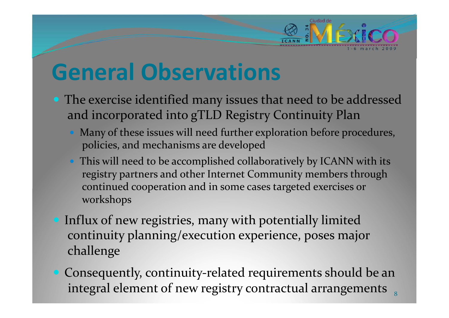### **General Observations**

• The exercise identified many issues that need to be addressed and incorporated into gTLD Registry Continuity Plan

- Many of these issues will need further exploration before procedures, policies, and mechanisms are developed
- This will need to be accomplished collaboratively by ICANN with its registry partners and other Internet Community members through continued cooperation and in some cases targeted exercises or workshops
- Influx of new registries, many with potentially limited continuity planning/execution experience, poses major challenge
- Consequently, continuity-related requirements should be an integral element of new registry contractual arrangements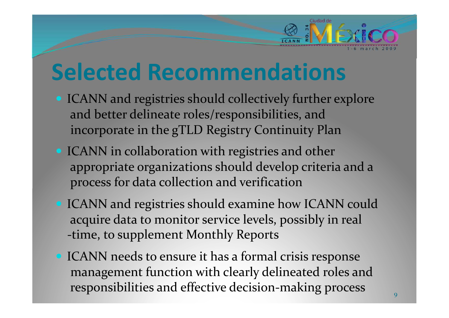#### **Selected Recommendations**

• ICANN and registries should collectively further explore and better delineate roles/responsibilities, and incorporate in the gTLD Registry Continuity Plan

- ICANN in collaboration with registries and other appropriate organizations should develop criteria and a process for data collection and verification
- ICANN and registries should examine how ICANN could acquire data to monitor service levels, possibly in real -time, to supplement Monthly Reports
- ICANN needs to ensure it has a formal crisis response management function with clearly delineated roles and responsibilities and effective decision-making process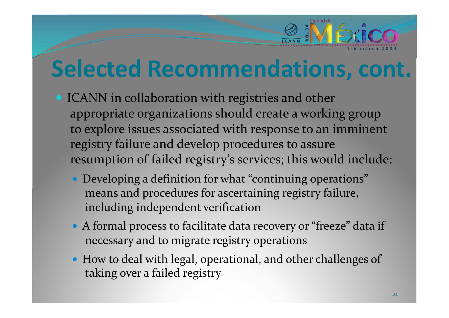# **Selected Recommendations, cont.**

- ICANN in collaboration with registries and other appropriate organizations should create a working group to explore issues associated with response to an imminent registry failure and develop procedures to assure resumption of failed registry's services; this would include:
	- Developing a definition for what "continuing operations" means and procedures for ascertaining registry failure, including independent verification
	- A formal process to facilitate data recovery or "freeze" data if necessary and to migrate registry operations
	- How to deal with legal, operational, and other challenges of taking over a failed registry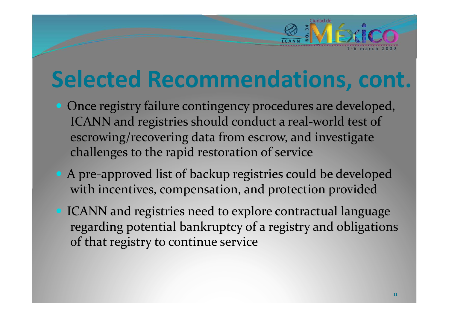# **Selected Recommendations, cont.**

- Once registry failure contingency procedures are developed, ICANN and registries should conduct a real-world test of escrowing/recovering data from escrow, and investigate challenges to the rapid restoration of service
- A pre-approved list of backup registries could be developed with incentives, compensation, and protection provided
- ICANN and registries need to explore contractual language regarding potential bankruptcy of a registry and obligations of that registry to continue service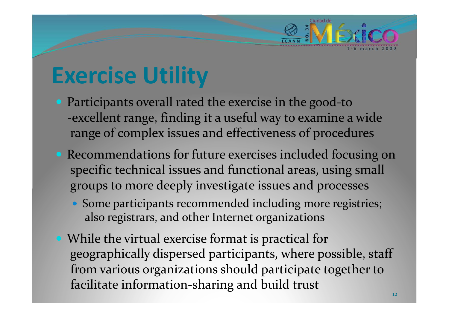### **Exercise Utility**

• Participants overall rated the exercise in the good-to -excellent range, finding it a useful way to examine a wide range of complex issues and effectiveness of procedures

- Recommendations for future exercises included focusing on specific technical issues and functional areas, using small groups to more deeply investigate issues and processes
	- Some participants recommended including more registries; also registrars, and other Internet organizations
- While the virtual exercise format is practical for geographically dispersed participants, where possible, staff from various organizations should participate together to facilitate information-sharing and build trust